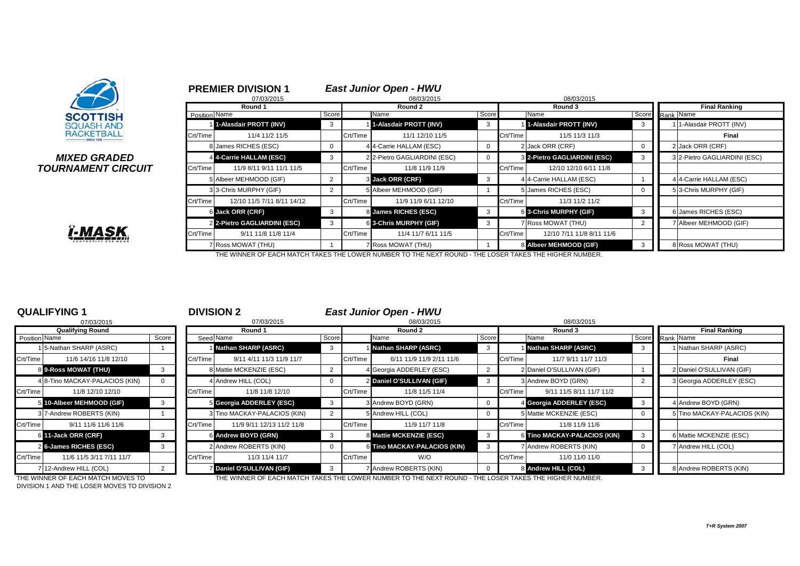

## **TOURNAMENT CIRCUIT**

|                                |               | 07/03/2015                   |             |          | 08/03/2015                   |                |          | 08/03/2015                   |                 |                              |
|--------------------------------|---------------|------------------------------|-------------|----------|------------------------------|----------------|----------|------------------------------|-----------------|------------------------------|
|                                |               | Round 1                      |             |          | Round 2                      |                |          | Round 3                      |                 | <b>Final Ranking</b>         |
| <b>SCOTTISH</b>                | Position Name |                              | Score       |          | Name                         | Score          |          | Name                         | Score Rank Name |                              |
| <b>SQUASH AND</b>              |               | 1-Alasdair PROTT (INV)       | 3           |          | 1-Alasdair PROTT (INV)       | -3             |          | 1-Alasdair PROTT (INV)       | -3              | 1 1-Alasdair PROTT (INV)     |
| <b>RACKETBALL</b>              | Crt/Time      | 11/4 11/2 11/5               |             | Crt/Time | 11/1 12/10 11/5              |                | Crt/Time | 11/5 11/3 11/3               |                 | Final                        |
|                                |               | 8 James RICHES (ESC)         | $\mathbf 0$ |          | 4 4-Carrie HALLAM (ESC)      | $\overline{0}$ |          | 2 Jack ORR (CRF)             |                 | 2 Jack ORR (CRF)             |
| MIXED GRADED                   |               | 4 4-Carrie HALLAM (ESC)      | 3           |          | 2 2-Pietro GAGLIARDINI (ESC) |                |          | 3 2-Pietro GAGLIARDINI (ESC) | -3              | 3 2-Pietro GAGLIARDINI (ESC) |
| <i><b>IRNAMENT CIRCUIT</b></i> | Crt/Time      | 11/9 8/11 9/11 11/1 11/5     |             | Crt/Time | 11/8 11/9 11/9               |                | Crt/Time | 12/10 12/10 6/11 11/8        |                 |                              |
|                                |               | 5 Albeer MEHMOOD (GIF)       | 2           |          | 3 Jack ORR (CRF)             | -3             |          | 4 4-Carrie HALLAM (ESC)      |                 | 4 4-Carrie HALLAM (ESC)      |
|                                |               | 3 3-Chris MURPHY (GIF)       | 2           |          | 5 Albeer MEHMOOD (GIF)       |                |          | 5 James RICHES (ESC)         |                 | 5 3-Chris MURPHY (GIF)       |
|                                | Crt/Time      | 12/10 11/5 7/11 8/11 14/12   |             | Crt/Time | 11/9 11/9 6/11 12/10         |                | Crt/Time | 11/3 11/2 11/2               |                 |                              |
|                                |               | 6 Jack ORR (CRF)             | 3           |          | 8 James RICHES (ESC)         | - 3            |          | 6 3-Chris MURPHY (GIF)       | - 3             | 6 James RICHES (ESC)         |
|                                |               | 2 2-Pietro GAGLIARDINI (ESC) | 3           |          | 6 3-Chris MURPHY (GIF)       | 3              |          | 7 Ross MOWAT (THU)           |                 | 7 Albeer MEHMOOD (GIF)       |
| <u>ï-MASK,</u>                 | Crt/Time      | 9/11 11/8 11/8 11/4          |             | Crt/Time | 11/4 11/7 6/11 11/5          |                | Crt/Time | 12/10 7/11 11/8 8/11 11/6    |                 |                              |
| <b>PROTECTIVE EYE WEAR</b>     |               | 7 Ross MOWAT (THU)           |             |          | 7 Ross MOWAT (THU)           |                |          | 8 Albeer MEHMOOD (GIF)       |                 | 8 Ross MOWAT (THU)           |
|                                |               |                              |             |          |                              |                |          |                              |                 |                              |

THE WINNER OF EACH MATCH TAKES THE LOWER NUMBER TO THE NEXT ROUND - THE LOSER TAKES THE HIGHER NUMBER.

|               | 07/03/2015                     |       |
|---------------|--------------------------------|-------|
|               | <b>Qualifying Round</b>        |       |
| Position Name |                                | Score |
| 1             | 5-Nathan SHARP (ASRC)          |       |
| Crt/Time      | 11/6 14/16 11/8 12/10          |       |
|               | 8 9-Ross MOWAT (THU)           | 3     |
|               | 4 8-Tino MACKAY-PALACIOS (KIN) | 0     |
| Crt/Time      | 11/8 12/10 12/10               |       |
| 5             | 10-Albeer MEHMOOD (GIF)        | 3     |
|               | 3 7-Andrew ROBERTS (KIN)       | 1     |
| Crt/Time      | 9/11 11/6 11/6 11/6            |       |
| 6             | 11-Jack ORR (CRF)              | 3     |
|               | 2 6-James RICHES (ESC)         | 3     |
| Crt/Time      | 11/6 11/5 3/11 7/11 11/7       |       |
|               | 712-Andrew HILL (COL)          | 2     |

**QUALIFYING 1** <sup>1</sup> **DIVISION 2** *East Junior Open - HWU*

**PREMIER DIVISION 1** *East Junior Open - HWU*

|               | 07/03/2015                        |              |          | 07/03/2015                   |       | 08/03/2015 |                                                                                                             |       |          | 08/03/2015                   |                 |                      |                              |  |
|---------------|-----------------------------------|--------------|----------|------------------------------|-------|------------|-------------------------------------------------------------------------------------------------------------|-------|----------|------------------------------|-----------------|----------------------|------------------------------|--|
|               | <b>Qualifying Round</b>           |              |          | Round 1                      |       |            | Round 2                                                                                                     |       |          | Round 3                      |                 | <b>Final Ranking</b> |                              |  |
| Position Name |                                   | Score        |          | Seed Name                    | Score |            | Name                                                                                                        | Score |          | Name                         | Score Rank Name |                      |                              |  |
|               | 15-Nathan SHARP (ASRC)            |              |          | Nathan SHARP (ASRC)          | - 3   |            | Nathan SHARP (ASRC)                                                                                         |       |          | Nathan SHARP (ASRC)          |                 |                      | 1 Nathan SHARP (ASRC)        |  |
| Crt/Time      | 11/6 14/16 11/8 12/10             |              | Crt/Time | 9/11 4/11 11/3 11/9 11/7     |       | Crt/Time   | 6/11 11/9 11/9 2/11 11/6                                                                                    |       | Crt/Time | 11/7 9/11 11/7 11/3          |                 |                      | Final                        |  |
|               | 8 9-Ross MOWAT (THU)              |              |          | 8 Mattie MCKENZIE (ESC)      |       |            | 4 Georgia ADDERLEY (ESC)                                                                                    |       |          | 2 Daniel O'SULLIVAN (GIF)    |                 |                      | 2 Daniel O'SULLIVAN (GIF)    |  |
|               | 4 8-Tino MACKAY-PALACIOS (KIN)    | $\mathbf{0}$ |          | 4 Andrew HILL (COL)          |       |            | 2 Daniel O'SULLIVAN (GIF)                                                                                   |       |          | 3 Andrew BOYD (GRN)          |                 |                      | 3 Georgia ADDERLEY (ESC)     |  |
| Crt/Time      | 11/8 12/10 12/10                  |              | Crt/Time | 11/8 11/8 12/10              |       | Crt/Time   | 11/8 11/5 11/4                                                                                              |       | Crt/Time | 9/11 11/5 8/11 11/7 11/2     |                 |                      |                              |  |
|               | 5 10-Albeer MEHMOOD (GIF)         |              |          | 5 Georgia ADDERLEY (ESC)     | -3    |            | 3 Andrew BOYD (GRN)                                                                                         |       |          | 4 Georgia ADDERLEY (ESC)     |                 |                      | 4 Andrew BOYD (GRN)          |  |
|               | 3 7-Andrew ROBERTS (KIN)          |              |          | 3 Tino MACKAY-PALACIOS (KIN) |       |            | 5 Andrew HILL (COL)                                                                                         |       |          | 5 Mattie MCKENZIE (ESC)      |                 |                      | 5 Tino MACKAY-PALACIOS (KIN) |  |
| Crt/Time      | 9/11 11/6 11/6 11/6               |              | Crt/Time | 11/9 9/11 12/13 11/2 11/8    |       | Crt/Time   | 11/9 11/7 11/8                                                                                              |       | Crt/Time | 11/8 11/9 11/6               |                 |                      |                              |  |
|               | 6 11-Jack ORR (CRF)               | 3            |          | 6 Andrew BOYD (GRN)          | -3    |            | 8 Mattie MCKENZIE (ESC)                                                                                     | 3     |          | 6 Tino MACKAY-PALACIOS (KIN) |                 |                      | 6 Mattie MCKENZIE (ESC)      |  |
|               | 2 6-James RICHES (ESC)            |              |          | 2 Andrew ROBERTS (KIN)       |       |            | <b>6 Tino MACKAY-PALACIOS (KIN)</b>                                                                         |       |          | 7 Andrew ROBERTS (KIN)       |                 |                      | 7 Andrew HILL (COL)          |  |
| Crt/Time      | 11/6 11/5 3/11 7/11 11/7          |              | Crt/Time | 11/3 11/4 11/7               |       | Crt/Time   | W/O                                                                                                         |       | Crt/Time | 11/0 11/0 11/0               |                 |                      |                              |  |
|               | 7 12-Andrew HILL (COL)            |              |          | 7 Daniel O'SULLIVAN (GIF)    | -3    |            | Andrew ROBERTS (KIN)                                                                                        |       |          | 8 Andrew HILL (COL)          |                 |                      | 8 Andrew ROBERTS (KIN)       |  |
|               | THE WINNER OF EACH MATCH MOVES TO |              |          |                              |       |            | THE MINNED OF EACH MATCH TAKES THE LOMED NI IMPED TO THE NEVT DOLINIO. THE LOSED TAKES THE HIGHED NI IMPED. |       |          |                              |                 |                      |                              |  |

DIVISION 1 AND THE LOSER MOVES TO DIVISION 2

THE WINNER OF EACH MATCH MOVES TO THE WINNER OF EACH MATCH TAKES THE LOWER NUMBER TO THE NEXT ROUND - THE LOSER TAKES THE HIGHER NUMBER.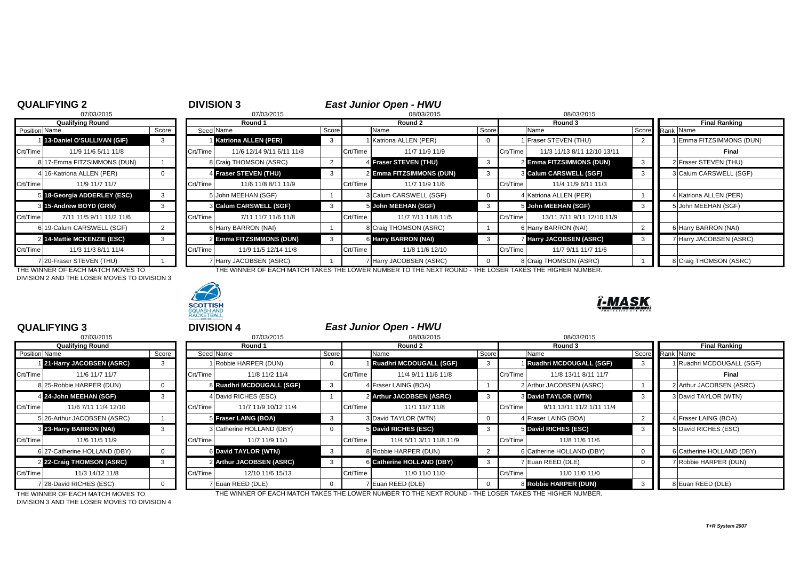## **QUALIFYING 2**<br>07/03/2015<br>08/03/2015

| 07/03/2015    |                             |       |           | 07/03/2015                    |                |          | 08/03/2015               |       | 08/03/2015 |                                |   |                      |                        |  |
|---------------|-----------------------------|-------|-----------|-------------------------------|----------------|----------|--------------------------|-------|------------|--------------------------------|---|----------------------|------------------------|--|
|               | <b>Qualifying Round</b>     |       |           | Round 1                       |                |          | Round 2                  |       |            | Round 3                        |   | <b>Final Ranking</b> |                        |  |
| Position Name |                             | Score | Seed Name |                               | Score          |          | Name                     | Score |            | Name                           |   | Score Rank Name      |                        |  |
|               | 13-Daniel O'SULLIVAN (GIF)  |       |           | <b>Katriona ALLEN (PER)</b>   | 3              |          | I Katriona ALLEN (PER)   | 0     |            | 1 Fraser STEVEN (THU)          |   |                      | I Emma FITZSIMMONS     |  |
| Crt/Time      | 11/9 11/6 5/11 11/8         |       | Crt/Time  | 11/6 12/14 9/11 6/11 11/8     |                | Crt/Time | 11/7 11/9 11/9           |       | Crt/Time   | 11/3 11/13 8/11 12/10 13/11    |   |                      | Final                  |  |
|               | 8 17-Emma FITZSIMMONS (DUN) |       |           | 8 Craig THOMSON (ASRC)        | $\overline{2}$ |          | 4 Fraser STEVEN (THU)    |       |            | 2 Emma FITZSIMMONS (DUN)       |   |                      | 2 Fraser STEVEN (THU)  |  |
|               | 4 16-Katriona ALLEN (PER)   |       |           | 4 Fraser STEVEN (THU)         | 3              |          | 2 Emma FITZSIMMONS (DUN) |       |            | 3 Calum CARSWELL (SGF)         | 3 |                      | 3 Calum CARSWELL (S    |  |
| Crt/Time      | 11/9 11/7 11/7              |       | Crt/Time  | 11/6 11/8 8/11 11/9           |                | Crt/Time | 11/7 11/9 11/6           |       | Crt/Time   | 11/4 11/9 6/11 11/3            |   |                      |                        |  |
|               | 5 18-Georgia ADDERLEY (ESC) |       |           | 5 John MEEHAN (SGF)           |                |          | 3 Calum CARSWELL (SGF)   |       |            | 4 Katriona ALLEN (PER)         |   |                      | 4 Katriona ALLEN (PER) |  |
|               | 3 15-Andrew BOYD (GRN)      | 3     |           | <b>8 Calum CARSWELL (SGF)</b> | 3              |          | 5 John MEEHAN (SGF)      | 3     |            | 5 John MEEHAN (SGF)            |   |                      | 5 John MEEHAN (SGF)    |  |
| Crt/Time      | 7/11 11/5 9/11 11/2 11/6    |       | Crt/Time  | 7/11 11/7 11/6 11/8           |                | Crt/Time | 11/7 7/11 11/8 11/5      |       | Crt/Time   | 13/11 7/11 9/11 12/10 11/9     |   |                      |                        |  |
|               | 6 19-Calum CARSWELL (SGF)   |       |           | 6 Harry BARRON (NAI)          |                |          | 8 Craig THOMSON (ASRC)   |       |            | 6 Harry BARRON (NAI)           |   |                      | 6 Harry BARRON (NAI)   |  |
|               | 2 14-Mattie MCKENZIE (ESC)  |       |           | 2 Emma FITZSIMMONS (DUN)      |                |          | 6 Harry BARRON (NAI)     |       |            | <b>7 Harry JACOBSEN (ASRC)</b> | 3 |                      | 7 Harry JACOBSEN (AS   |  |
| Crt/Time      | 11/3 11/3 8/11 11/4         |       | Crt/Time  | 11/9 11/5 12/14 11/8          |                | Crt/Time | 11/8 11/6 12/10          |       | Crt/Time   | 11/7 9/11 11/7 11/6            |   |                      |                        |  |
|               | 7 20-Fraser STEVEN (THU)    |       |           | Harry JACOBSEN (ASRC)         |                |          | 7 Harry JACOBSEN (ASRC)  |       |            | 8 Craig THOMSON (ASRC)         |   |                      | 8 Craig THOMSON (ASP   |  |

THE WINNER OF EACH MATCH MOVES TO DIVISION 2 AND THE LOSER MOVES TO DIVISION 3



| <b>Position Name</b> |                                   | Score |          | Seed Name                    | Score |          | Name                                                                          | Score |          | Name                        | Score Rank Name |                          |
|----------------------|-----------------------------------|-------|----------|------------------------------|-------|----------|-------------------------------------------------------------------------------|-------|----------|-----------------------------|-----------------|--------------------------|
|                      | 13-Daniel O'SULLIVAN (GIF)        | 3     |          | <b>Katriona ALLEN (PER)</b>  | -3    |          | 1 Katriona ALLEN (PER)                                                        |       |          | Fraser STEVEN (THU)         |                 | 1 Emma FITZSIMMONS (DUN) |
| Crt/Time             | 11/9 11/6 5/11 11/8               |       | Crt/Time | 11/6 12/14 9/11 6/11 11/8    |       | Crt/Time | 11/7 11/9 11/9                                                                |       | Crt/Time | 11/3 11/13 8/11 12/10 13/11 |                 | Final                    |
|                      | 817-Emma FITZSIMMONS (DUN)        |       |          | 8 Craig THOMSON (ASRC)       |       |          | 4 Fraser STEVEN (THU)                                                         |       |          | 2 Emma FITZSIMMONS (DUN)    |                 | 2 Fraser STEVEN (THU)    |
|                      | 4 16-Katriona ALLEN (PER)         |       |          | <b>4 Fraser STEVEN (THU)</b> | - 3   |          | 2 Emma FITZSIMMONS (DUN)                                                      |       |          | 3 Calum CARSWELL (SGF)      |                 | 3 Calum CARSWELL (SGF)   |
| Crt/Time             | 11/9 11/7 11/7                    |       | Crt/Time | 11/6 11/8 8/11 11/9          |       | Crt/Time | 11/7 11/9 11/6                                                                |       | Crt/Time | 11/4 11/9 6/11 11/3         |                 |                          |
|                      | 5 18-Georgia ADDERLEY (ESC)       | 3     |          | 5 John MEEHAN (SGF)          |       |          | 3 Calum CARSWELL (SGF)                                                        |       |          | 4 Katriona ALLEN (PER)      |                 | 4 Katriona ALLEN (PER)   |
|                      | 3 15-Andrew BOYD (GRN)            |       |          | 3 Calum CARSWELL (SGF)       |       |          | 5 John MEEHAN (SGF)                                                           |       |          | 5 John MEEHAN (SGF)         |                 | 5 John MEEHAN (SGF)      |
| Crt/Time             | 7/11 11/5 9/11 11/2 11/6          |       | Crt/Time | 7/11 11/7 11/6 11/8          |       | Crt/Time | 11/7 7/11 11/8 11/5                                                           |       | Crt/Time | 13/11 7/11 9/11 12/10 11/9  |                 |                          |
|                      | 6 19-Calum CARSWELL (SGF)         |       |          | 6 Harry BARRON (NAI)         |       |          | 8 Craig THOMSON (ASRC)                                                        |       |          | 6 Harry BARRON (NAI)        |                 | 6 Harry BARRON (NAI)     |
|                      | 2 14-Mattie MCKENZIE (ESC)        |       |          | 2 Emma FITZSIMMONS (DUN)     |       |          | 6 Harry BARRON (NAI)                                                          |       |          | Harry JACOBSEN (ASRC)       | 3               | 7 Harry JACOBSEN (ASRC)  |
| Crt/Time             | 11/3 11/3 8/11 11/4               |       | Crt/Time | 11/9 11/5 12/14 11/8         |       | Crt/Time | 11/8 11/6 12/10                                                               |       | Crt/Time | 11/7 9/11 11/7 11/6         |                 |                          |
|                      | 7 20-Fraser STEVEN (THU)          |       |          | Harry JACOBSEN (ASRC)        |       |          | 7 Harry JACOBSEN (ASRC)                                                       |       |          | 8 Craig THOMSON (ASRC)      |                 | 8 Craig THOMSON (ASRC)   |
|                      | THE WINNER OF FACH MATCH MOVES TO |       |          |                              |       |          | THE WINNER OF FACH MATCH TAKES THE LOWER NUMBER TO THE NEXT ROUND - THE LOSER |       |          | TAKES THE HIGHER NUMBER     |                 |                          |



| 07/03/2015              |                              |       |  |  |  |  |  |  |  |  |
|-------------------------|------------------------------|-------|--|--|--|--|--|--|--|--|
| <b>Qualifying Round</b> |                              |       |  |  |  |  |  |  |  |  |
| Position Name           |                              | Score |  |  |  |  |  |  |  |  |
| 1                       | 21-Harry JACOBSEN (ASRC)     | з     |  |  |  |  |  |  |  |  |
| Crt/Time                | 11/6 11/7 11/7               |       |  |  |  |  |  |  |  |  |
|                         | 8 25-Robbie HARPER (DUN)     | 0     |  |  |  |  |  |  |  |  |
| $\overline{4}$          | 24-John MEEHAN (SGF)         | 3     |  |  |  |  |  |  |  |  |
| Crt/Time                | 11/6 7/11 11/4 12/10         |       |  |  |  |  |  |  |  |  |
|                         | 5 26-Arthur JACOBSEN (ASRC)  |       |  |  |  |  |  |  |  |  |
| 3                       | 23-Harry BARRON (NAI)        | 3     |  |  |  |  |  |  |  |  |
| Crt/Time                | 11/6 11/5 11/9               |       |  |  |  |  |  |  |  |  |
|                         | 6 27-Catherine HOLLAND (DBY) | ŋ     |  |  |  |  |  |  |  |  |
| $\overline{2}$          | 22-Craig THOMSON (ASRC)      | 3     |  |  |  |  |  |  |  |  |
| Crt/Time                | 11/3 14/12 11/8              |       |  |  |  |  |  |  |  |  |
|                         | 7 28-David RICHES (ESC)      |       |  |  |  |  |  |  |  |  |

**QUALIFYING 3**<br>07/03/2015 **DIVISION 4**<br>08/03/2015 *DIVISION 4* 07/03/2015 8 07/03/2015 08/03/2015 08/03/2015 **Qualifying Round Round 1 Round 2 Round 3 Final Ranking** Position Name Score Seed Name Score Name Score Name Score Rank Name 1 **21-Harry JACOBSEN (ASRC)** 3 1 Robbie HARPER (DUN) 0 1 **Ruadhri MCDOUGALL (SGF)** 3 1 **Ruadhri MCDOUGALL (SGF)** 3 1 Ruadhri MCDOUGALL (SGF) Crt/Time 11/6 11/7 11/7 Crt/Time 11/8 11/2 11/4 Crt/Time 11/4 9/11 11/6 11/8 Crt/Time 11/8 13/11 8/11 11/7 **Final** 8 **Ruadhri MCDOUGALL (SGF)** 3 4 Fraser LAING (BOA) 1 2 Arthur JACOBSEN (ASRC) 1 2 Arthur JACOBSEN (ASRC) 4 **David RICHES (ESC)** 1 2 **Arthur JACOBSEN (ASRC)** 3 3 David TAYLOR (WTN) 3 3 David TAYLOR (WTN) Crt/Time | 11/6 7/11 11/4 12/10 | Crt/Time | 11/7 11/9 10/12 11/4 | Crt/Time | 11/1 11/7 11/8 | Crt/Time | 9/11 13/11 11/2 1/11 11/4 5 26-Arthur JACOBSEN (ASRC) 1 5 **Fraser LAING (BOA)** 3 3 David TAYLOR (WTN) 0 4 Fraser LAING (BOA) 2 4 Fraser LAING (BOA) 3 **23-Harry BARRON (NAI)** 3 3 Catherine HOLLAND (DBY) 0 5 **David RICHES (ESC)** 3 5 **David RICHES (ESC)** 3 5 David RICHES (ESC) Crt/Time 11/7 11/9 11/1 Crt/Time 11/4 5/11 3/11 11/8 11/9 Crt/Time 11/6 11/6 11/6 6 27-Catherine HOLLAND (DBY) 0 6 **David TAYLOR (WTN)** 3 8 Robbie HARPER (DUN) 2 6 Catherine HOLLAND (DBY) 0 6 Catherine HOLLAND (DBY) 2 **22-Craig THOMSON (ASRC)** 3 2 **Arthur JACOBSEN (ASRC)** 3 6 **Catherine HOLLAND (DBY)** 3 7 Euan REED (DLE) 0 7 Robbie HARPER (DUN) Crt/Time 11/3 14/12 11/8 Crt/Time 12/10 11/6 15/13 Crt/Time 11/0 11/0 11/0 Crt/Time 11/0 11/0 11/0 7 28-David RICHES (ESC) 0 7 Euan REED (DLE) 0 7 Euan REED (DLE) 0 8 **Robbie HARPER (DUN)** 3 8 Euan REED (DLE) THE WINNER OF EACH MATCH MOVES TO THE WINNER OF EACH MATCH TAKES THE LOWER NUMBER TO THE NEXT ROUND - THE LOSER TAKES THE HIGHER NUMBER.

DIVISION 3 AND THE LOSER MOVES TO DIVISION 4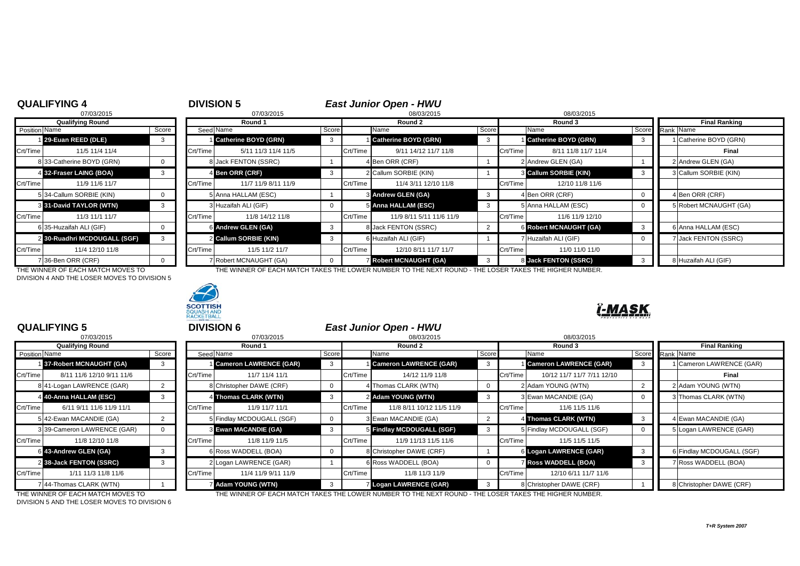# **QUALIFYING 4**<br><sup>07/03/2015</sup> <sup>07/03/2015</sup> <sup>07/03/2015</sup> <sup>07/03/2015</sup> <sup>07/03/2015</sup> <sup>07/03/2015</sup> 07/03/2015 8 07/03/2015 08/03/2015 08/03/2015 2 30-Ruadhri MCDOUGALL (SGF) 3

DIVISION 4 AND THE LOSER MOVES TO DIVISION 5



|          | Qualifying Round             |  |          | Round 1                     |       |          | Round 2                     |       | Round 3  | <b>Final Ranking</b>          |                        |  |
|----------|------------------------------|--|----------|-----------------------------|-------|----------|-----------------------------|-------|----------|-------------------------------|------------------------|--|
|          | Score<br>Position Name       |  |          | Seed Name                   | Score |          | Name                        | Score |          | Name                          | Score Rank Name        |  |
|          | 29-Euan REED (DLE)           |  |          | <b>Catherine BOYD (GRN)</b> |       |          | <b>Catherine BOYD (GRN)</b> |       |          | <b>Catherine BOYD (GRN)</b>   | Catherine BOYD (GRN)   |  |
| Crt/Time | 11/5 11/4 11/4               |  | Crt/Time | 5/11 11/3 11/4 11/5         |       | Crt/Time | 9/11 14/12 11/7 11/8        |       | Crt/Time | 8/11 11/8 11/7 11/4           | Final                  |  |
|          | 8 33-Catherine BOYD (GRN)    |  |          | 8 Jack FENTON (SSRC)        |       |          | 4 Ben ORR (CRF)             |       |          | 2 Andrew GLEN (GA)            | 2 Andrew GLEN (GA)     |  |
|          | 4 32-Fraser LAING (BOA)      |  |          | 4 Ben ORR (CRF)             |       |          | 2 Callum SORBIE (KIN)       |       |          | <b>8 Callum SORBIE (KIN)</b>  | 3 Callum SORBIE (KIN)  |  |
| Crt/Time | 11/9 11/6 11/7               |  | Crt/Time | 11/7 11/9 8/11 11/9         |       | Crt/Time | 11/4 3/11 12/10 11/8        |       | Crt/Time | 12/10 11/8 11/6               |                        |  |
|          | 5 34-Callum SORBIE (KIN)     |  |          | 5 Anna HALLAM (ESC)         |       |          | 3 Andrew GLEN (GA)          | 3     |          | 4 Ben ORR (CRF)               | 4 Ben ORR (CRF)        |  |
|          | 3 31-David TAYLOR (WTN)      |  |          | 3 Huzaifah ALI (GIF)        |       |          | 5 Anna HALLAM (ESC)         |       |          | 5 Anna HALLAM (ESC)           | 5 Robert MCNAUGHT (GA) |  |
| Crt/Time | 11/3 11/1 11/7               |  | Crt/Time | 11/8 14/12 11/8             |       | Crt/Time | 11/9 8/11 5/11 11/6 11/9    |       | Crt/Time | 11/6 11/9 12/10               |                        |  |
|          | 6 35-Huzaifah ALI (GIF)      |  |          | 6 Andrew GLEN (GA)          |       |          | 8 Jack FENTON (SSRC)        |       |          | <b>6 Robert MCNAUGHT (GA)</b> | 6 Anna HALLAM (ESC)    |  |
|          | 2 30-Ruadhri MCDOUGALL (SGF) |  |          | 2 Callum SORBIE (KIN)       |       |          | 6 Huzaifah ALI (GIF)        |       |          | 7 Huzaifah ALI (GIF)          | Jack FENTON (SSRC)     |  |
| Crt/Time | 11/4 12/10 11/8              |  | Crt/Time | 11/5 11/2 11/7              |       | Crt/Time | 12/10 8/11 11/7 11/7        |       | Crt/Time | 11/0 11/0 11/0                |                        |  |
|          | 36-Ben ORR (CRF)             |  |          | 7 Robert MCNAUGHT (GA)      |       |          | <b>Robert MCNAUGHT (GA)</b> |       |          | 8 Jack FENTON (SSRC)          | 8 Huzaifah ALI (GIF)   |  |

THE WINNER OF EACH MATCH MOVES TO THE WINNER OF EACH MATCH TAKES THE LOWER NUMBER TO THE NEXT ROUND - THE LOSER TAKES THE HIGHER NUMBER.



## I-MAS

| 07/03/2015              |                             |       |  |  |  |  |  |  |  |  |
|-------------------------|-----------------------------|-------|--|--|--|--|--|--|--|--|
| <b>Qualifying Round</b> |                             |       |  |  |  |  |  |  |  |  |
| <b>Position Name</b>    |                             | Score |  |  |  |  |  |  |  |  |
|                         | 137-Robert MCNAUGHT (GA)    | з     |  |  |  |  |  |  |  |  |
| Crt/Time                | 8/11 11/6 12/10 9/11 11/6   |       |  |  |  |  |  |  |  |  |
|                         | 8 41-Logan LAWRENCE (GAR)   | 2     |  |  |  |  |  |  |  |  |
| $\overline{4}$          | 40-Anna HALLAM (ESC)        | 3     |  |  |  |  |  |  |  |  |
| Crt/Time                | 6/11 9/11 11/6 11/9 11/1    |       |  |  |  |  |  |  |  |  |
|                         | 5 42-Ewan MACANDIE (GA)     | 2     |  |  |  |  |  |  |  |  |
|                         | 3 39-Cameron LAWRENCE (GAR) | ŋ     |  |  |  |  |  |  |  |  |
| Crt/Time                | 11/8 12/10 11/8             |       |  |  |  |  |  |  |  |  |
|                         | 6 43-Andrew GLEN (GA)       | 3     |  |  |  |  |  |  |  |  |
|                         | 2 38-Jack FENTON (SSRC)     | 3     |  |  |  |  |  |  |  |  |
| Crt/Time                | 1/11 11/3 11/8 11/6         |       |  |  |  |  |  |  |  |  |
|                         | 44-Thomas CLARK (WTN)       |       |  |  |  |  |  |  |  |  |

|               | <b>QUALIFYING 5</b>         |               | <b>DIVISION 6</b> |                               |              | <b>East Junior Open - HWU</b> |                               |       |          |                               |                         |                           |
|---------------|-----------------------------|---------------|-------------------|-------------------------------|--------------|-------------------------------|-------------------------------|-------|----------|-------------------------------|-------------------------|---------------------------|
|               | 07/03/2015                  |               |                   | 07/03/2015                    |              |                               | 08/03/2015                    |       |          | 08/03/2015                    |                         |                           |
|               | <b>Qualifying Round</b>     |               | Round 1           |                               |              | Round 2                       |                               |       |          | Round 3                       |                         | <b>Final Ranking</b>      |
| Position Name |                             | Score         | Seed Name         |                               | Score        |                               | Name                          | Score |          | Name                          |                         | Score Rank Name           |
|               | 37-Robert MCNAUGHT (GA)     | 3             |                   | <b>Cameron LAWRENCE (GAR)</b> | 3            |                               | <b>Cameron LAWRENCE (GAR)</b> |       |          | <b>Cameron LAWRENCE (GAR)</b> | -3                      | Cameron LAWRENCE (GAR)    |
| Crt/Time      | 8/11 11/6 12/10 9/11 11/6   |               | Crt/Time          | 11/7 11/4 11/1                |              | Crt/Time                      | 14/12 11/9 11/8               |       | Crt/Time | 10/12 11/7 11/7 7/11 12/10    |                         | Final                     |
|               | 8 41-Logan LAWRENCE (GAR)   | 2             |                   | 8 Christopher DAWE (CRF)      |              |                               | 4 Thomas CLARK (WTN)          |       |          | 2 Adam YOUNG (WTN)            |                         | 2 Adam YOUNG (WTN)        |
|               | 4 40-Anna HALLAM (ESC)      | 3             |                   | 4 Thomas CLARK (WTN)          | -3           |                               | 2 Adam YOUNG (WTN)            |       |          | 3 Ewan MACANDIE (GA)          |                         | 3 Thomas CLARK (WTN)      |
| Crt/Time      | 6/11 9/11 11/6 11/9 11/1    |               | Crt/Time          | 11/9 11/7 11/1                |              | Crt/Time                      | 11/8 8/11 10/12 11/5 11/9     |       | Crt/Time | 11/6 11/5 11/6                |                         |                           |
|               | 5 42-Ewan MACANDIE (GA)     |               |                   | 5 Findlay MCDOUGALL (SGF)     |              |                               | 3 Ewan MACANDIE (GA)          |       |          | 4 Thomas CLARK (WTN)          | -3                      | 4 Ewan MACANDIE (GA)      |
|               | 3 39-Cameron LAWRENCE (GAR) | $\mathbf{0}$  |                   | 3 Ewan MACANDIE (GA)          | $\mathbf{3}$ |                               | 5 Findlay MCDOUGALL (SGF)     | 3     |          | 5 Findlay MCDOUGALL (SGF)     | $\Omega$                | 5 Logan LAWRENCE (GAR)    |
| Crt/Time      | 11/8 12/10 11/8             |               | Crt/Time          | 11/8 11/9 11/5                |              | Crt/Time                      | 11/9 11/13 11/5 11/6          |       | Crt/Time | 11/5 11/5 11/5                |                         |                           |
|               | 6 43-Andrew GLEN (GA)       | $\mathcal{B}$ |                   | 6 Ross WADDELL (BOA)          |              |                               | 8 Christopher DAWE (CRF)      |       |          | 6 Logan LAWRENCE (GAR)        | $\overline{\mathbf{3}}$ | 6 Findlay MCDOUGALL (SGF) |
|               | 2 38-Jack FENTON (SSRC)     | 3             |                   | 2 Logan LAWRENCE (GAR)        |              |                               | 6 Ross WADDELL (BOA)          |       |          | <b>Ross WADDELL (BOA)</b>     | 3                       | 7 Ross WADDELL (BOA)      |
| Crt/Time      | 1/11 11/3 11/8 11/6         |               | Crt/Time          | 11/4 11/9 9/11 11/9           |              | Crt/Time                      | 11/8 11/3 11/9                |       | Crt/Time | 12/10 6/11 11/7 11/6          |                         |                           |
|               | 7 44-Thomas CLARK (WTN)     |               |                   | <b>Adam YOUNG (WTN)</b>       | -3           |                               | <b>Z Logan LAWRENCE (GAR)</b> |       |          | 8 Christopher DAWE (CRF)      |                         | 8 Christopher DAWE (CRF)  |

DIVISION 5 AND THE LOSER MOVES TO DIVISION 6

THE WINNER OF EACH MATCH MOVES TO THE WINNER OF EACH MATCH TAKES THE LOWER NUMBER TO THE NEXT ROUND - THE LOSER TAKES THE HIGHER NUMBER.